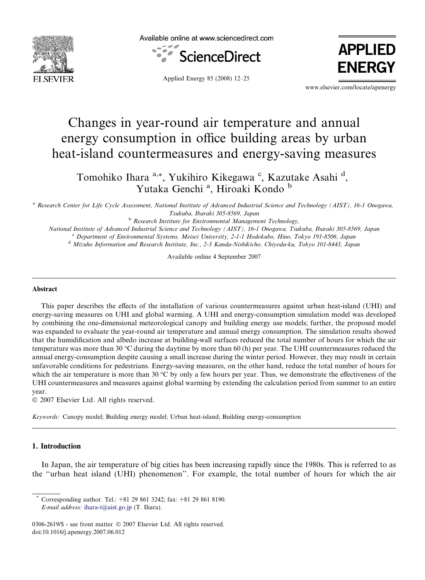

Available online at www.sciencedirect.com



Applied Energy 85 (2008) 12–25

APPLIED ENERGY

www.elsevier.com/locate/apenergy

# Changes in year-round air temperature and annual energy consumption in office building areas by urban heat-island countermeasures and energy-saving measures

Tomohiko Ihara <sup>a,\*</sup>, Yukihiro Kikegawa <sup>c</sup>, Kazutake Asahi <sup>d</sup>, Yutaka Genchi<sup>a</sup>, Hiroaki Kondo b

<sup>a</sup> Research Center for Life Cycle Assessment, National Institute of Advanced Industrial Science and Technology (AIST), 16-1 Onogawa, Tsukuba, Ibaraki 305-8569, Japan

**b** Research Institute for Environmental Management Technology,

National Institute of Advanced Industrial Science and Technology (AIST), 16-1 Onogawa, Tsukuba, Ibaraki 305-8569, Japan <sup>c</sup> Department of Environmental Systems, Meisei University, 2-1-1 Hodokubo, Hino, Tokyo 191-8506, Japan <sup>d</sup> Mizuho Information and Research Institute, Inc., 2-3 Kanda-Nishikicho, Chiyoda-ku, Tokyo 101-8443, Japan

Available online 4 September 2007

#### Abstract

This paper describes the effects of the installation of various countermeasures against urban heat-island (UHI) and energy-saving measures on UHI and global warming. A UHI and energy-consumption simulation model was developed by combining the one-dimensional meteorological canopy and building energy use models; further, the proposed model was expanded to evaluate the year-round air temperature and annual energy consumption. The simulation results showed that the humidification and albedo increase at building-wall surfaces reduced the total number of hours for which the air temperature was more than 30 °C during the daytime by more than 60 (h) per year. The UHI countermeasures reduced the annual energy-consumption despite causing a small increase during the winter period. However, they may result in certain unfavorable conditions for pedestrians. Energy-saving measures, on the other hand, reduce the total number of hours for which the air temperature is more than 30  $^{\circ}$ C by only a few hours per year. Thus, we demonstrate the effectiveness of the UHI countermeasures and measures against global warming by extending the calculation period from summer to an entire year.

2007 Elsevier Ltd. All rights reserved.

Keywords: Canopy model; Building energy model; Urban heat-island; Building energy-consumption

### 1. Introduction

In Japan, the air temperature of big cities has been increasing rapidly since the 1980s. This is referred to as the ''urban heat island (UHI) phenomenon''. For example, the total number of hours for which the air

Corresponding author. Tel.:  $+81$  29 861 3242; fax:  $+81$  29 861 8190. E-mail address: [ihara-t@aist.go.jp](mailto:ihara-t@aist.go.jp) (T. Ihara).

<sup>0306-2619/\$ -</sup> see front matter © 2007 Elsevier Ltd. All rights reserved. doi:10.1016/j.apenergy.2007.06.012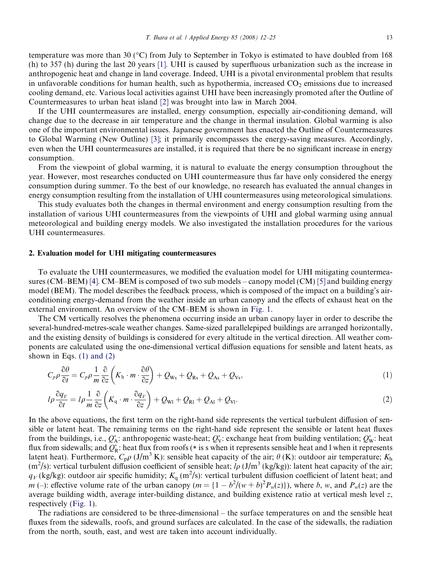temperature was more than 30 (°C) from July to September in Tokyo is estimated to have doubled from 168 (h) to 357 (h) during the last 20 years [\[1\]](#page--1-0). UHI is caused by superfluous urbanization such as the increase in anthropogenic heat and change in land coverage. Indeed, UHI is a pivotal environmental problem that results in unfavorable conditions for human health, such as hypothermia, increased  $CO<sub>2</sub>$  emissions due to increased cooling demand, etc. Various local activities against UHI have been increasingly promoted after the Outline of Countermeasures to urban heat island [\[2\]](#page--1-0) was brought into law in March 2004.

If the UHI countermeasures are installed, energy consumption, especially air-conditioning demand, will change due to the decrease in air temperature and the change in thermal insulation. Global warming is also one of the important environmental issues. Japanese government has enacted the Outline of Countermeasures to Global Warming (New Outline) [\[3\]](#page--1-0); it primarily encompasses the energy-saving measures. Accordingly, even when the UHI countermeasures are installed, it is required that there be no significant increase in energy consumption.

From the viewpoint of global warming, it is natural to evaluate the energy consumption throughout the year. However, most researches conducted on UHI countermeasure thus far have only considered the energy consumption during summer. To the best of our knowledge, no research has evaluated the annual changes in energy consumption resulting from the installation of UHI countermeasures using meteorological simulations.

This study evaluates both the changes in thermal environment and energy consumption resulting from the installation of various UHI countermeasures from the viewpoints of UHI and global warming using annual meteorological and building energy models. We also investigated the installation procedures for the various UHI countermeasures.

#### 2. Evaluation model for UHI mitigating countermeasures

To evaluate the UHI countermeasures, we modified the evaluation model for UHI mitigating countermea-sures (CM–BEM) [\[4\]](#page--1-0). CM–BEM is composed of two sub models – canopy model (CM) [\[5\]](#page--1-0) and building energy model (BEM). The model describes the feedback process, which is composed of the impact on a building's airconditioning energy-demand from the weather inside an urban canopy and the effects of exhaust heat on the external environment. An overview of the CM–BEM is shown in [Fig. 1.](#page--1-0)

The CM vertically resolves the phenomena occurring inside an urban canopy layer in order to describe the several-hundred-metres-scale weather changes. Same-sized parallelepiped buildings are arranged horizontally, and the existing density of buildings is considered for every altitude in the vertical direction. All weather components are calculated using the one-dimensional vertical diffusion equations for sensible and latent heats, as shown in Eqs.  $(1)$  and  $(2)$ 

$$
C_p \rho \frac{\partial \theta}{\partial t} = C_p \rho \frac{1}{m} \frac{\partial}{\partial z} \left( K_{\rm h} \cdot m \cdot \frac{\partial \theta}{\partial z} \right) + Q_{\rm Ws} + Q_{\rm Rs} + Q_{\rm As} + Q_{\rm Vs}, \tag{1}
$$

$$
l\rho \frac{\partial q_V}{\partial t} = l\rho \frac{1}{m} \frac{\partial}{\partial z} \left( K_q \cdot m \cdot \frac{\partial q_V}{\partial z} \right) + Q_{\text{W1}} + Q_{\text{R1}} + Q_{\text{Al}} + Q_{\text{V1}}.
$$
 (2)

In the above equations, the first term on the right-hand side represents the vertical turbulent diffusion of sensible or latent heat. The remaining terms on the right-hand side represent the sensible or latent heat fluxes from the buildings, i.e.,  $Q_A^*$ : anthropogenic waste-heat;  $Q_V^*$ : exchange heat from building ventilation;  $Q_W^*$ : heat flux from sidewalls; and  $Q_R^*$ : heat flux from roofs (\* is s when it represents sensible heat and l when it represents latent heat). Furthermore,  $C_p \rho$  (J/m<sup>3</sup> K): sensible heat capacity of the air;  $\theta$  (K): outdoor air temperature; K<sub>h</sub> (m<sup>2</sup>/s): vertical turbulent diffusion coefficient of sensible heat;  $l\rho (J/m^3$  (kg/kg)): latent heat capacity of the air;  $q_V$ (kg/kg): outdoor air specific humidity;  $K_q$  (m<sup>2</sup>/s): vertical turbulent diffusion coefficient of latent heat; and m (-): effective volume rate of the urban canopy  $(m = {1 - b^2/(w + b)^2 P_w(z)})$ , where b, w, and  $P_w(z)$  are the average building width, average inter-building distance, and building existence ratio at vertical mesh level z, respectively ([Fig. 1](#page--1-0)).

The radiations are considered to be three-dimensional – the surface temperatures on and the sensible heat fluxes from the sidewalls, roofs, and ground surfaces are calculated. In the case of the sidewalls, the radiation from the north, south, east, and west are taken into account individually.